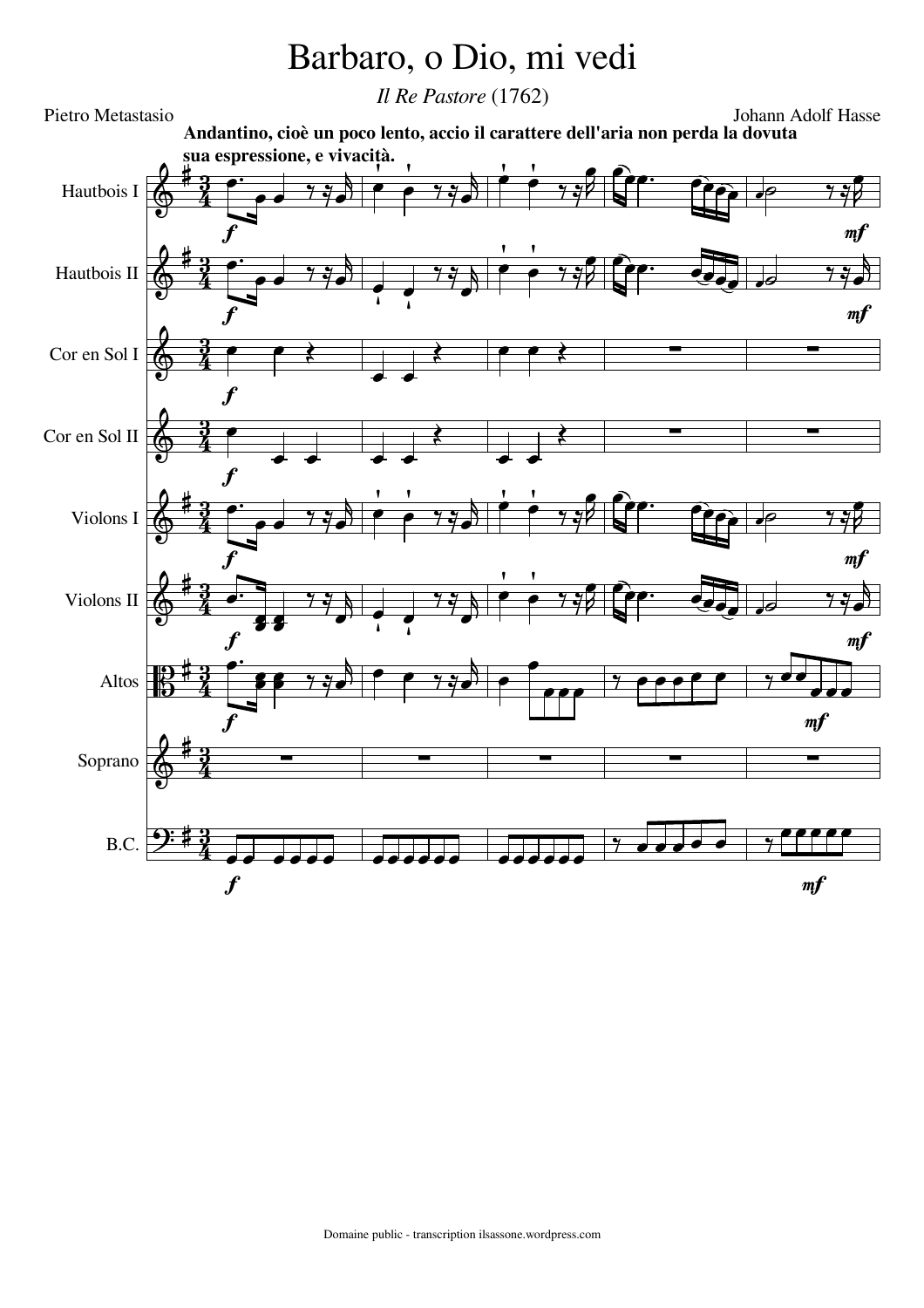## Barbaro, o Dio, mi vedi

*Il Re Pastore* (1762)

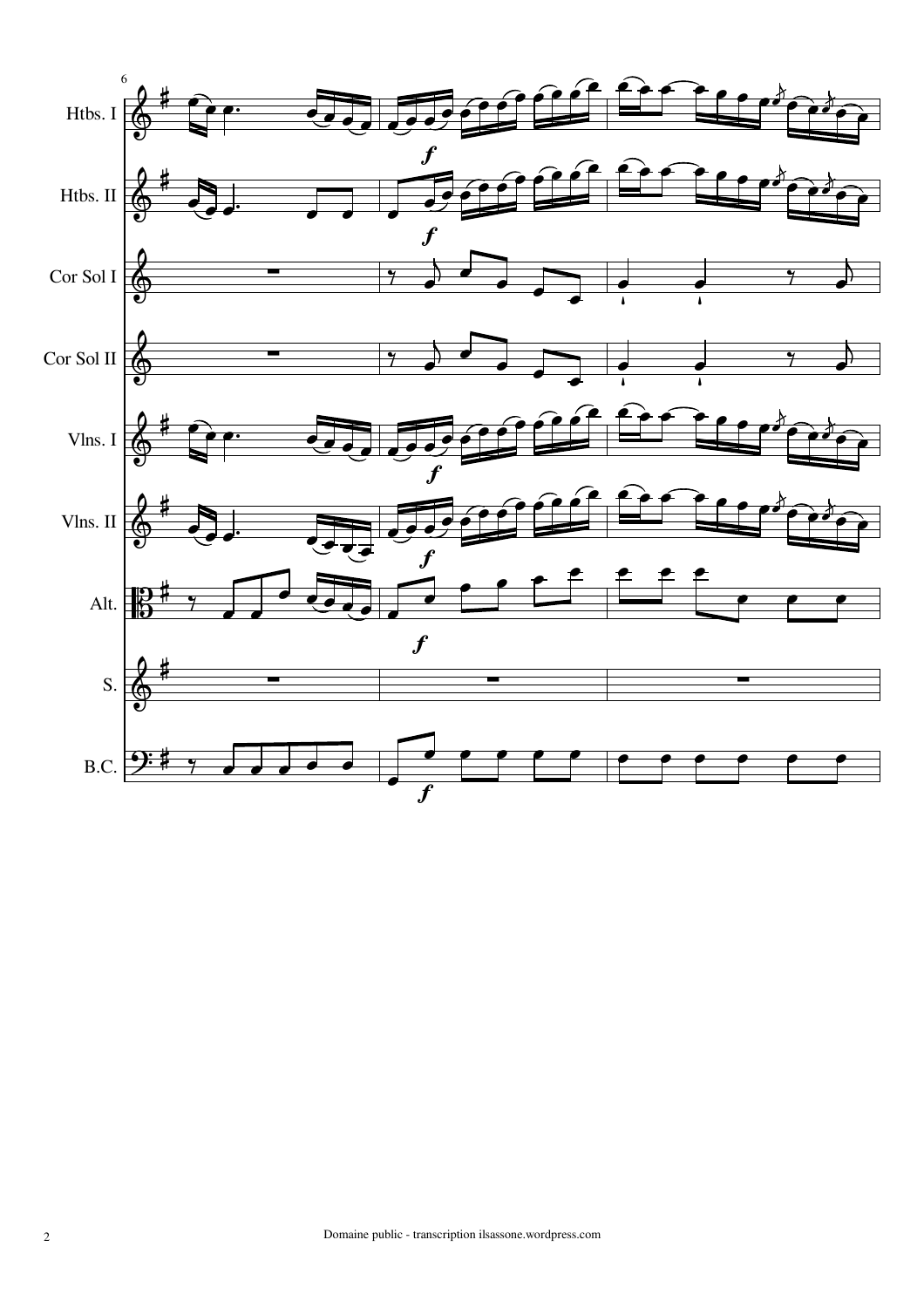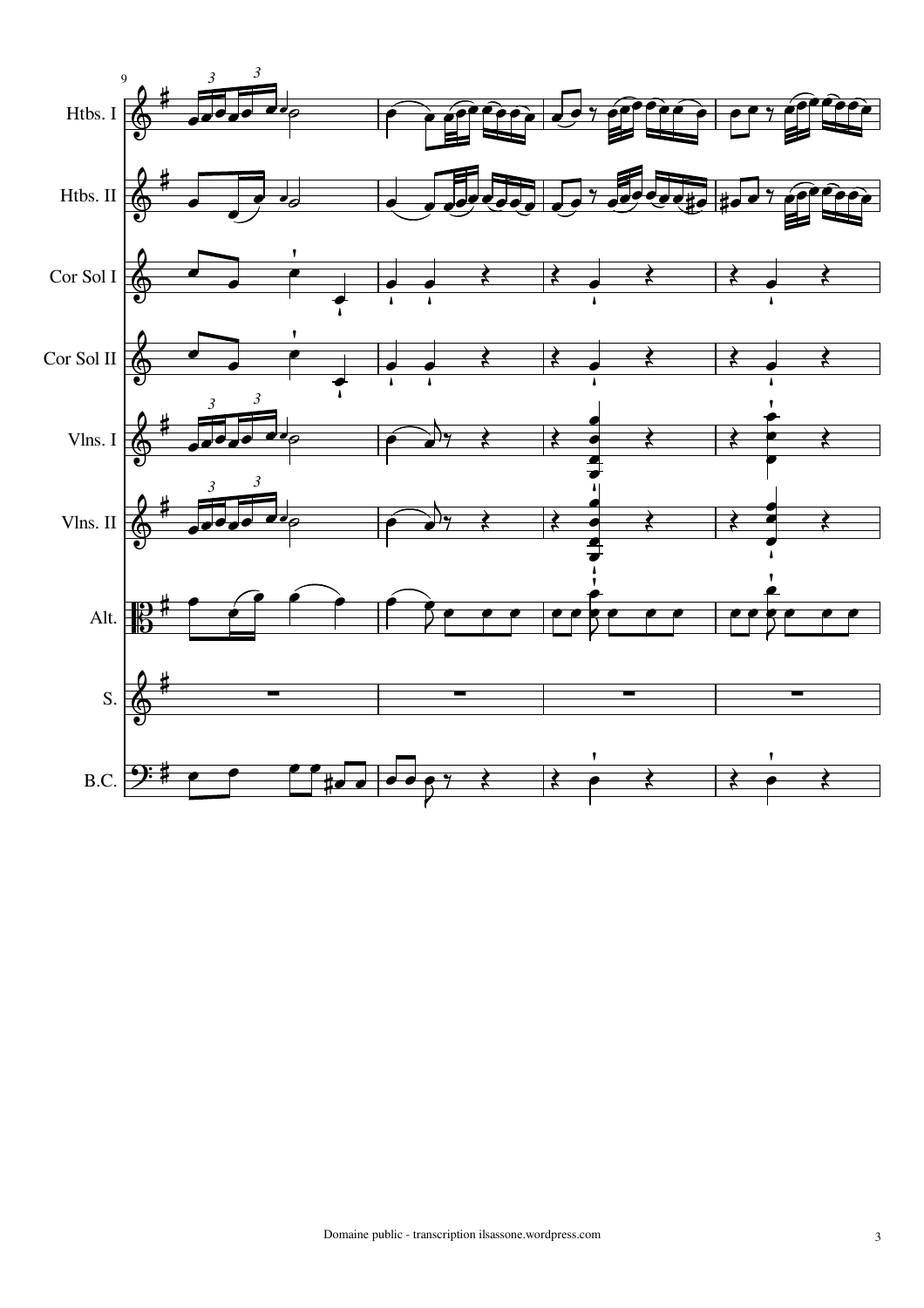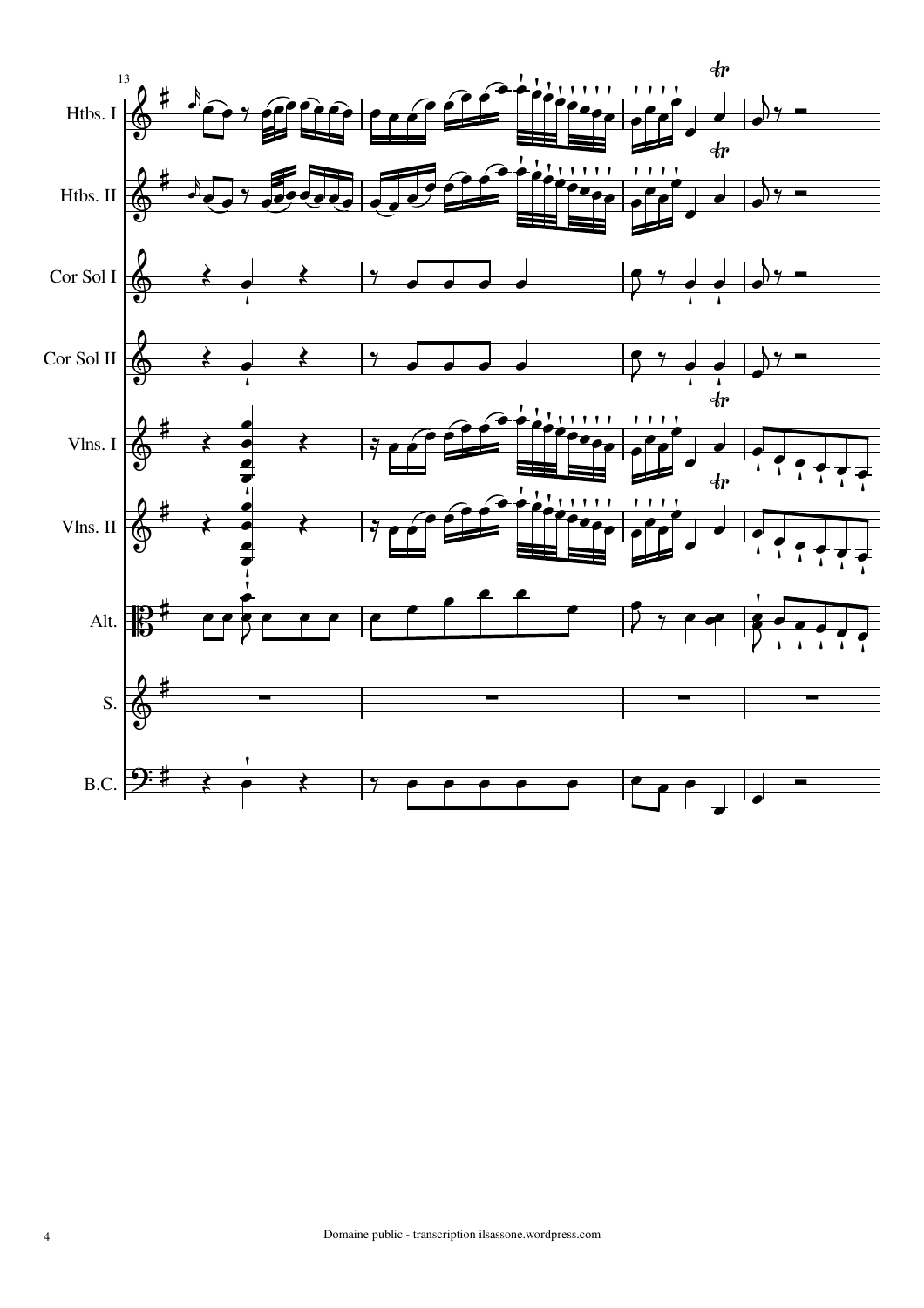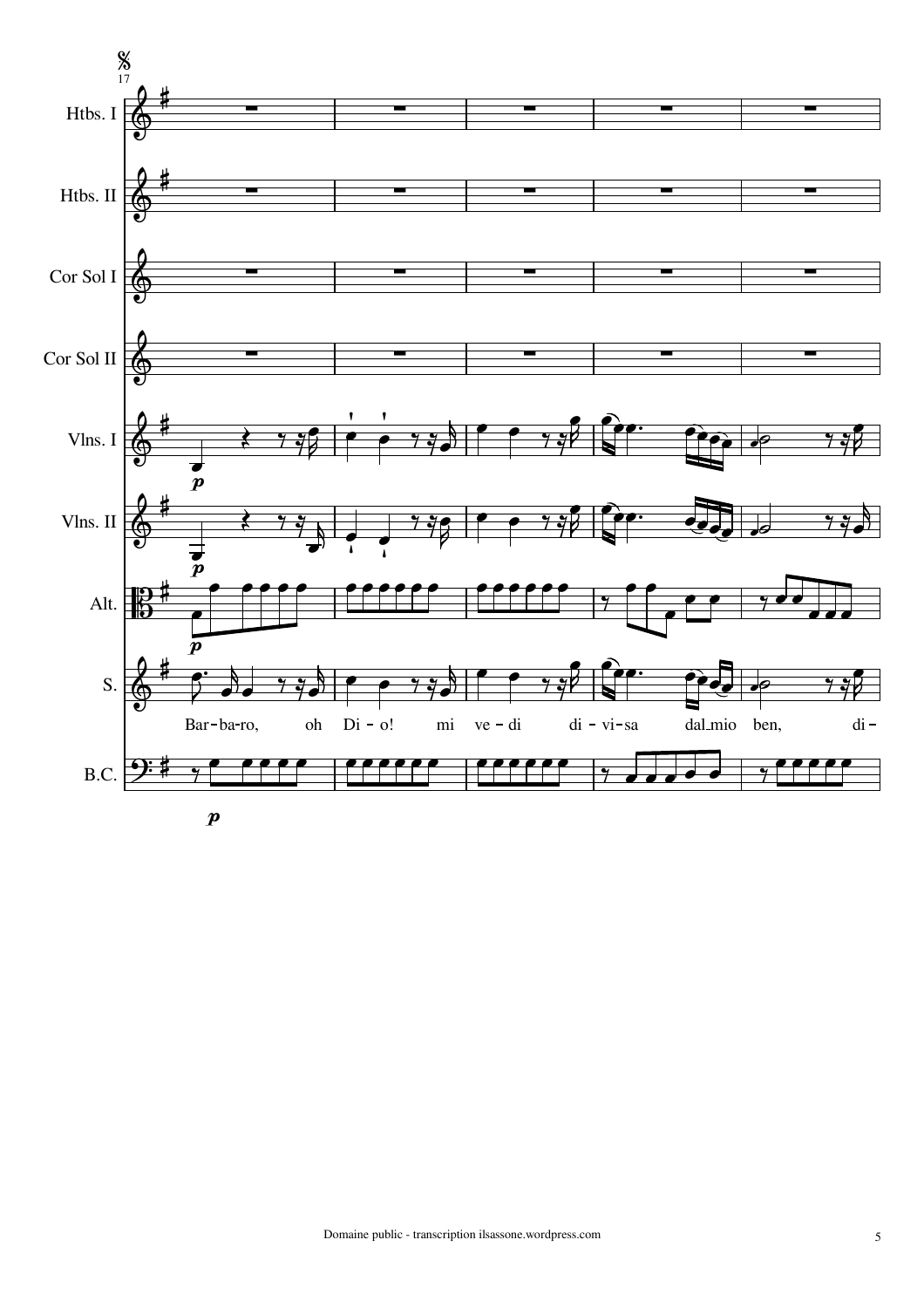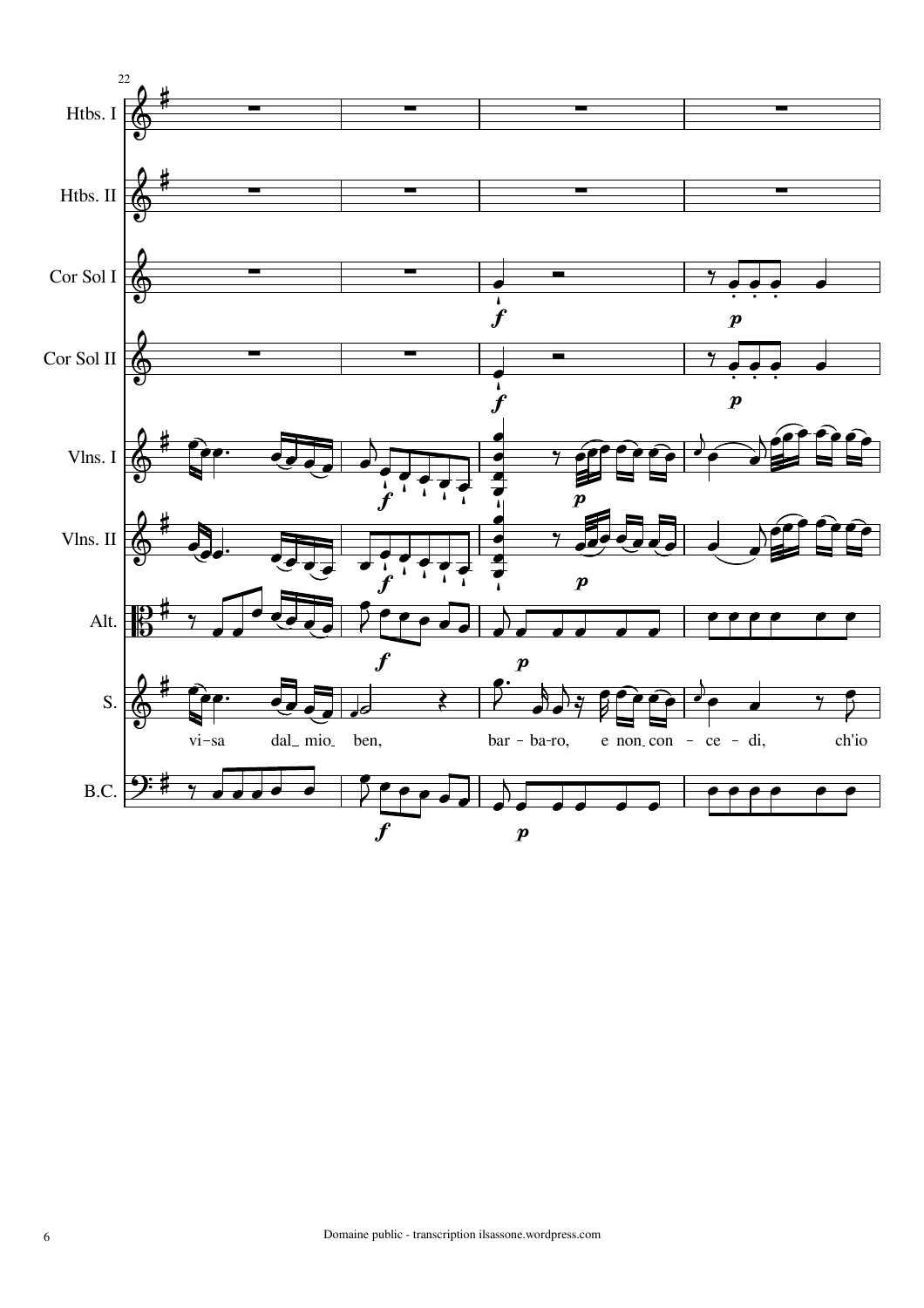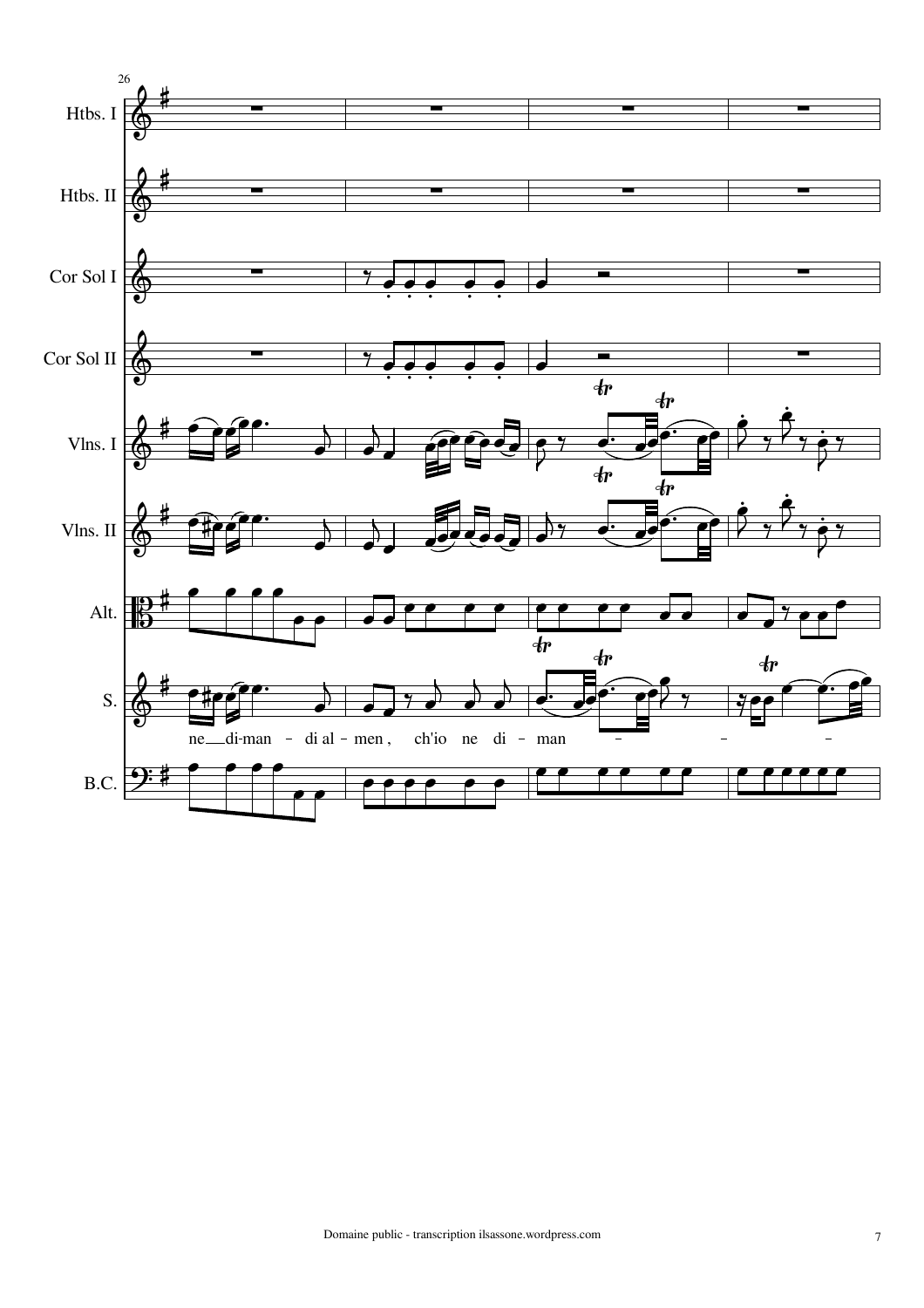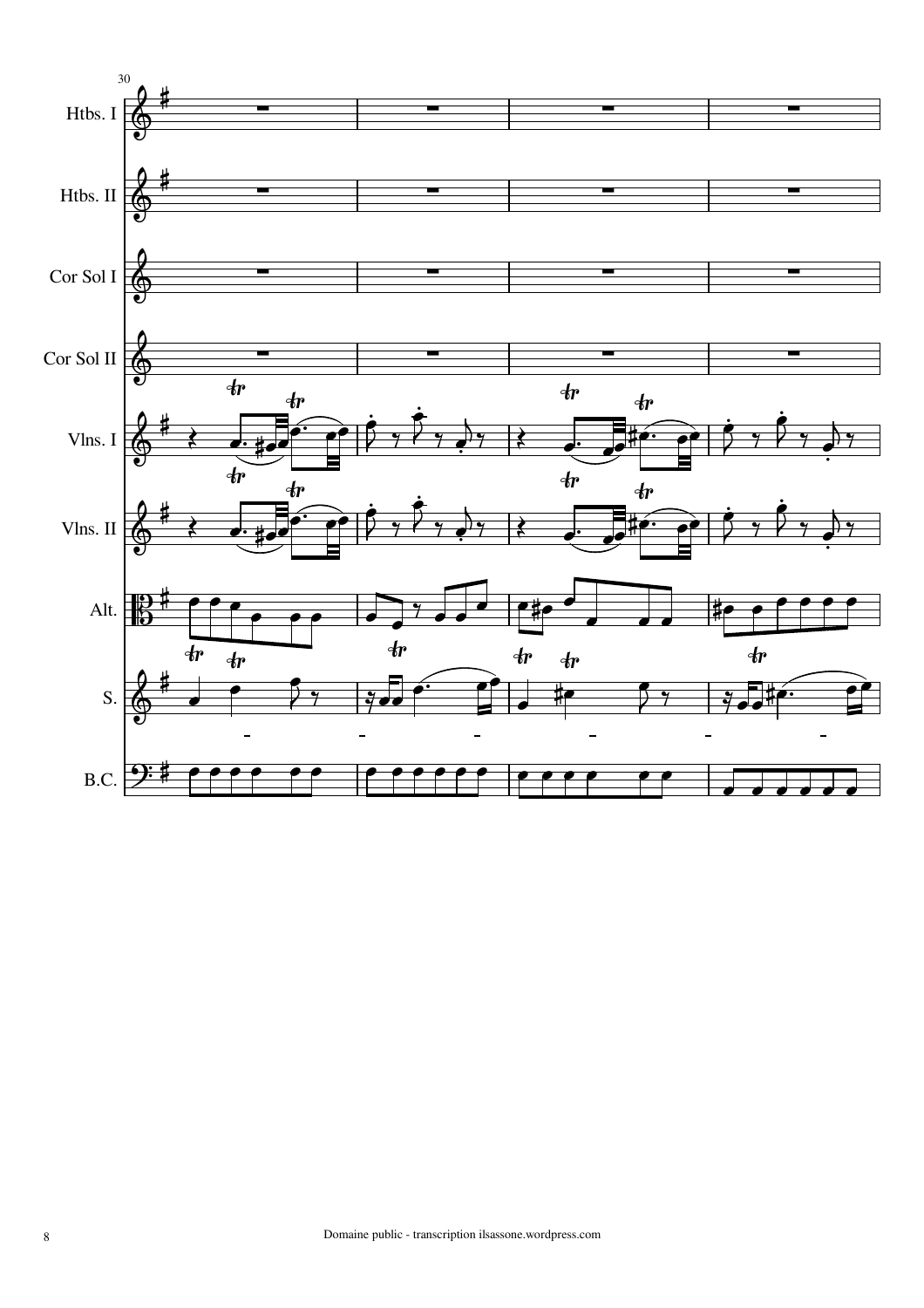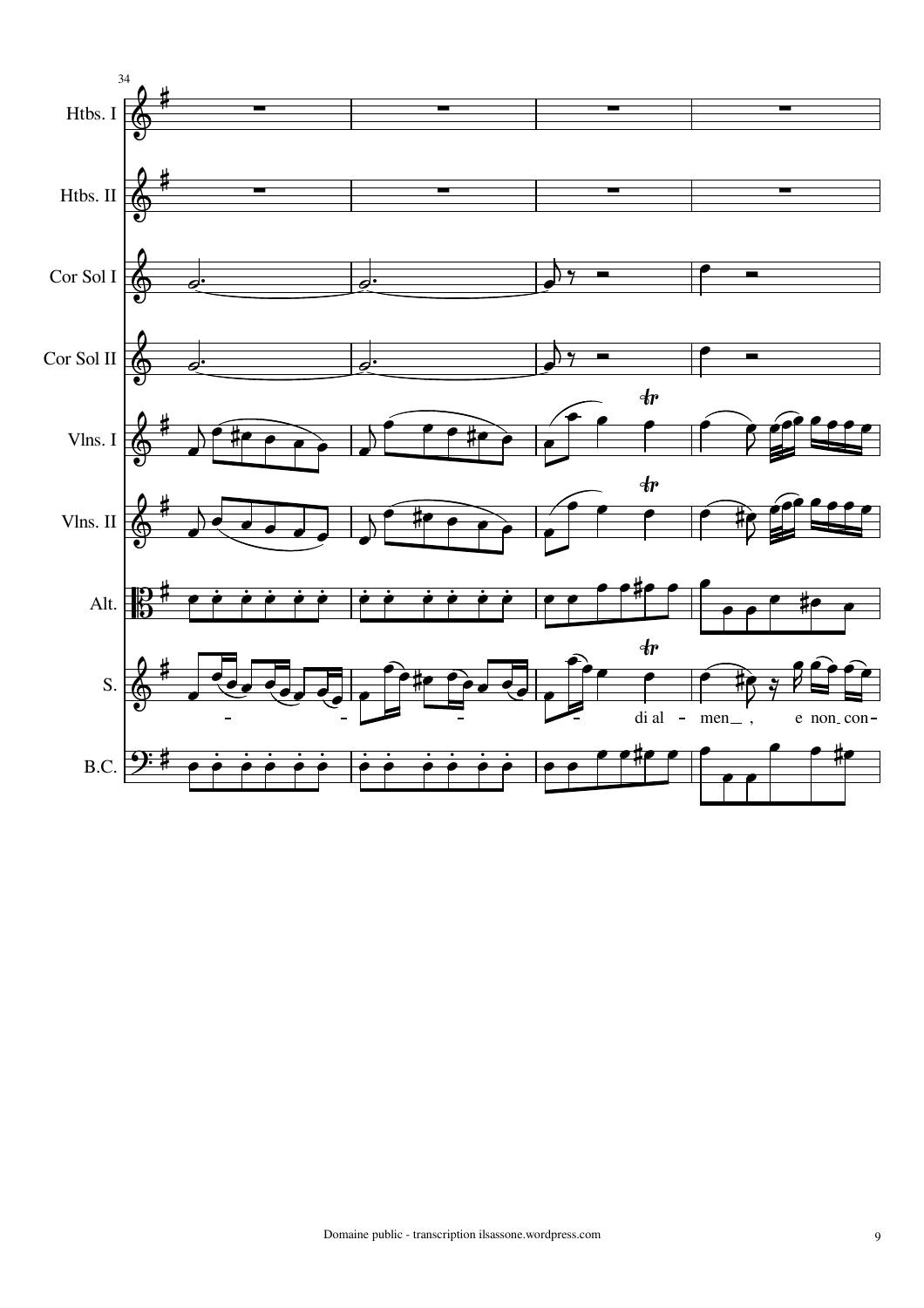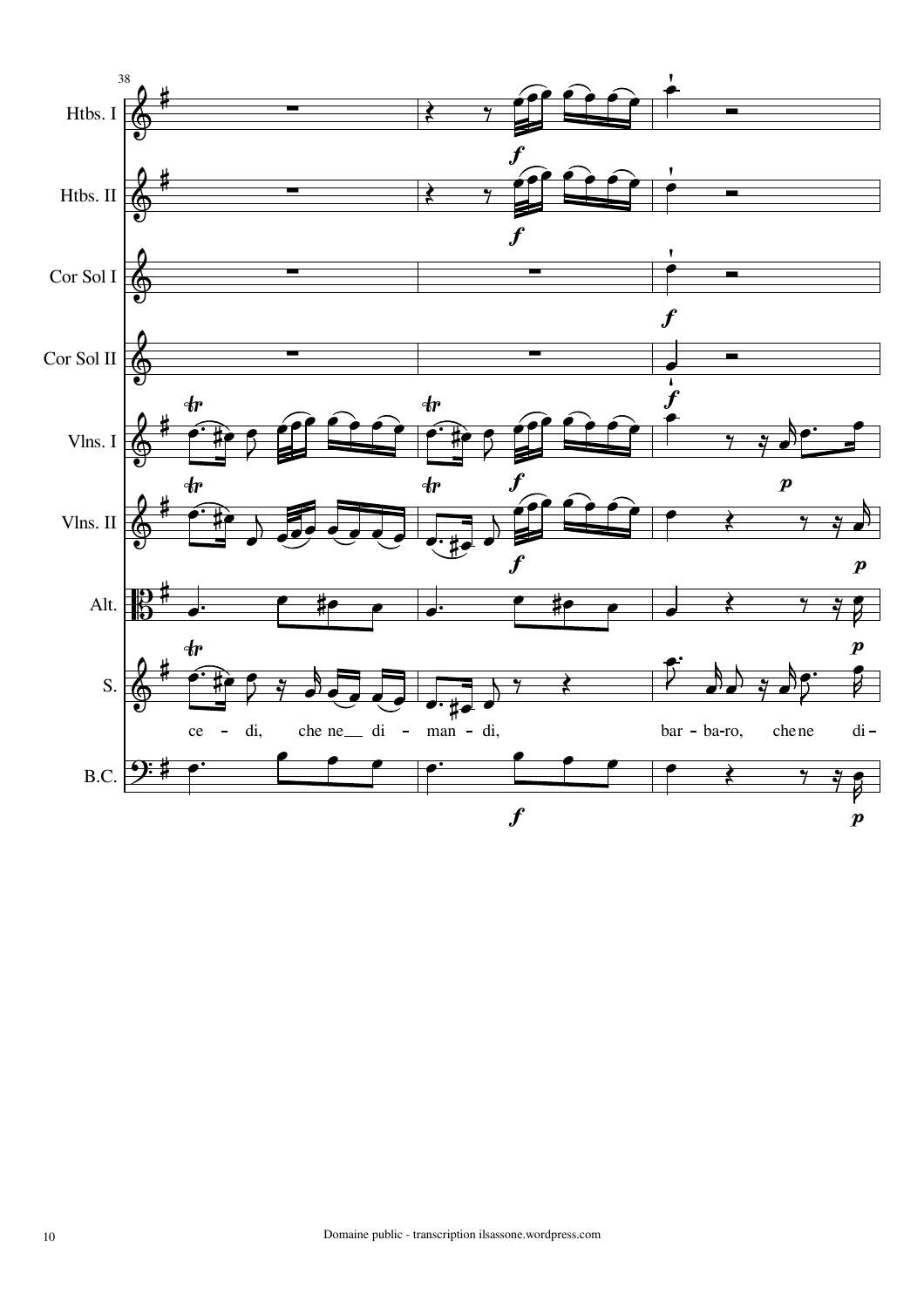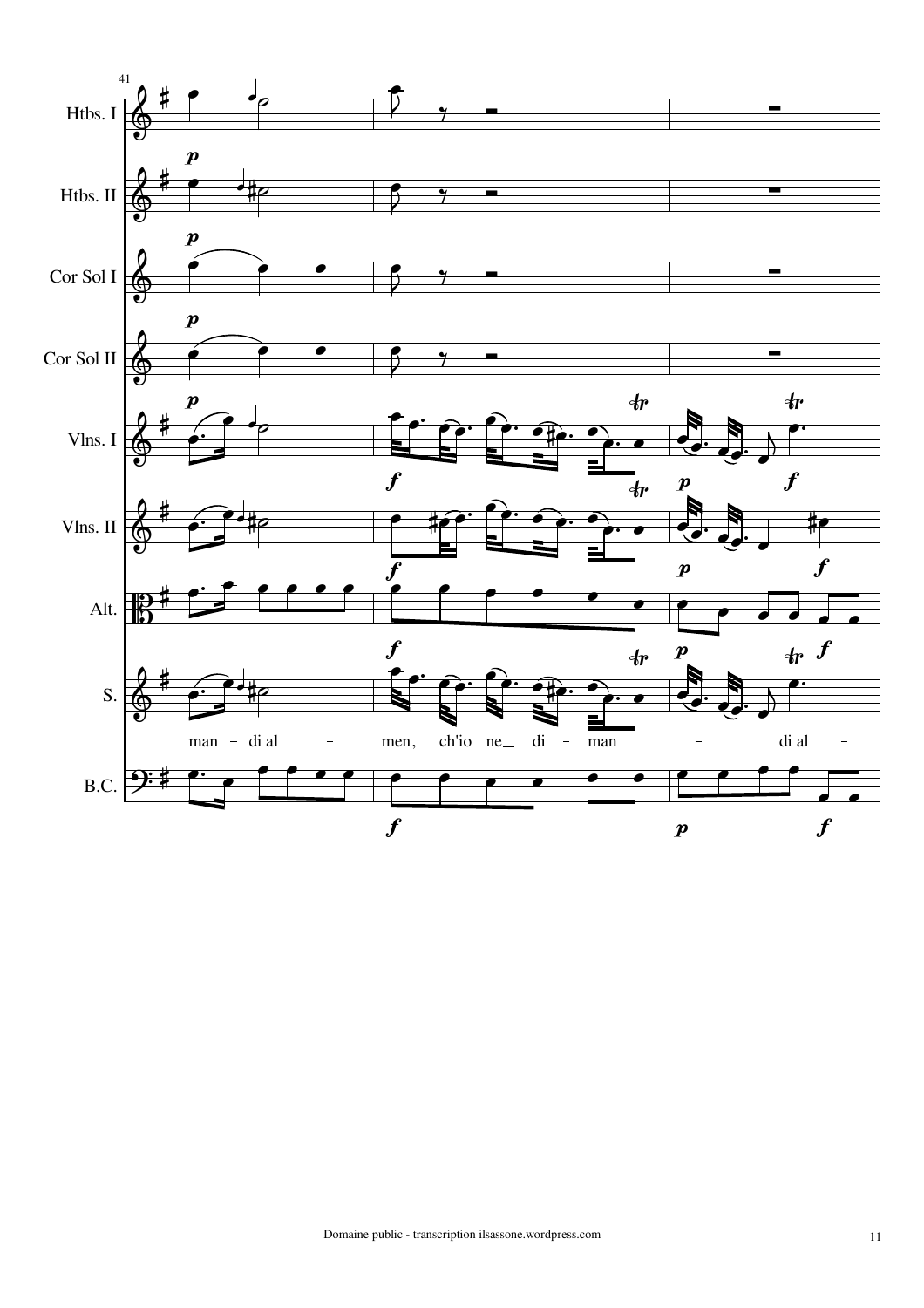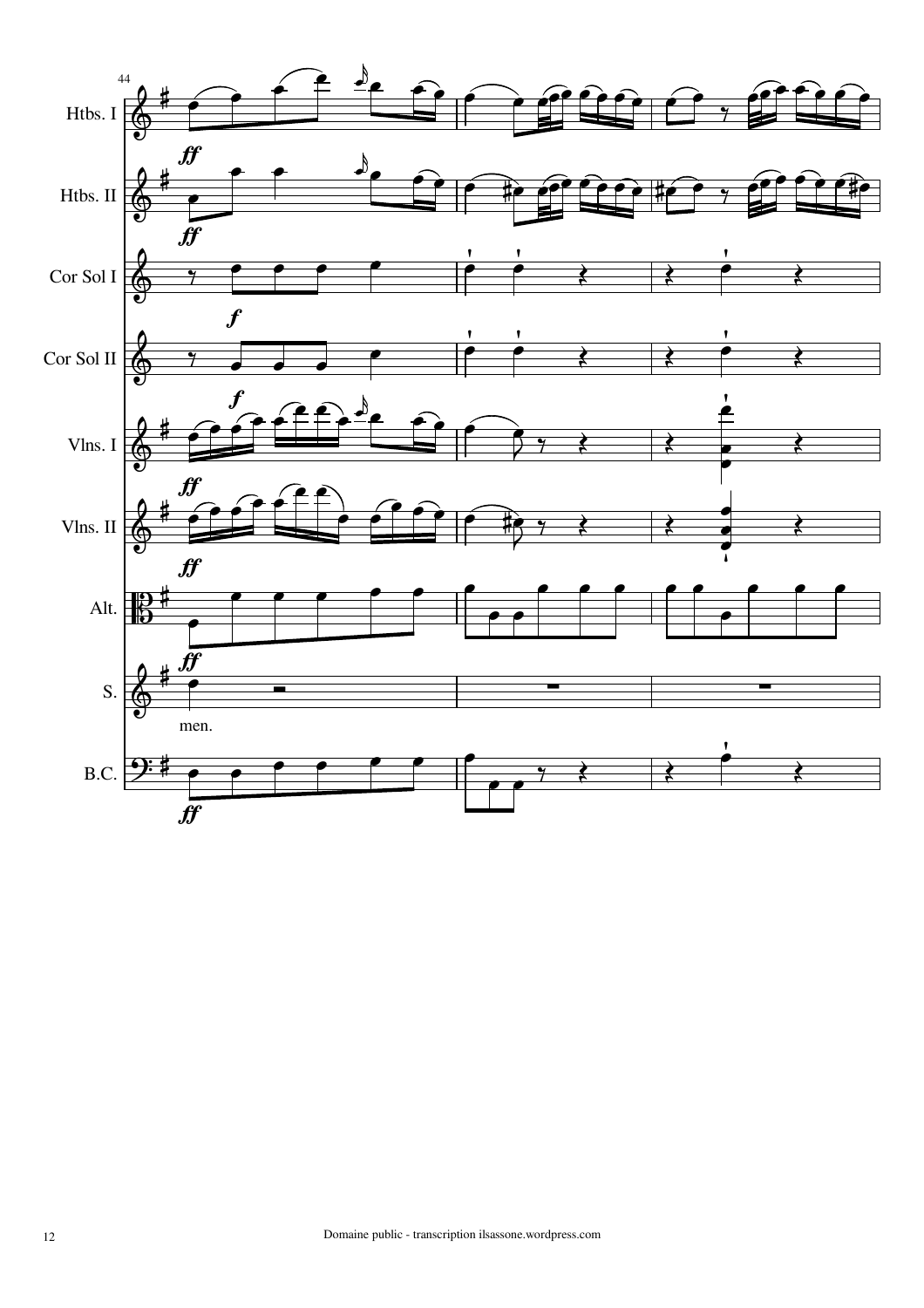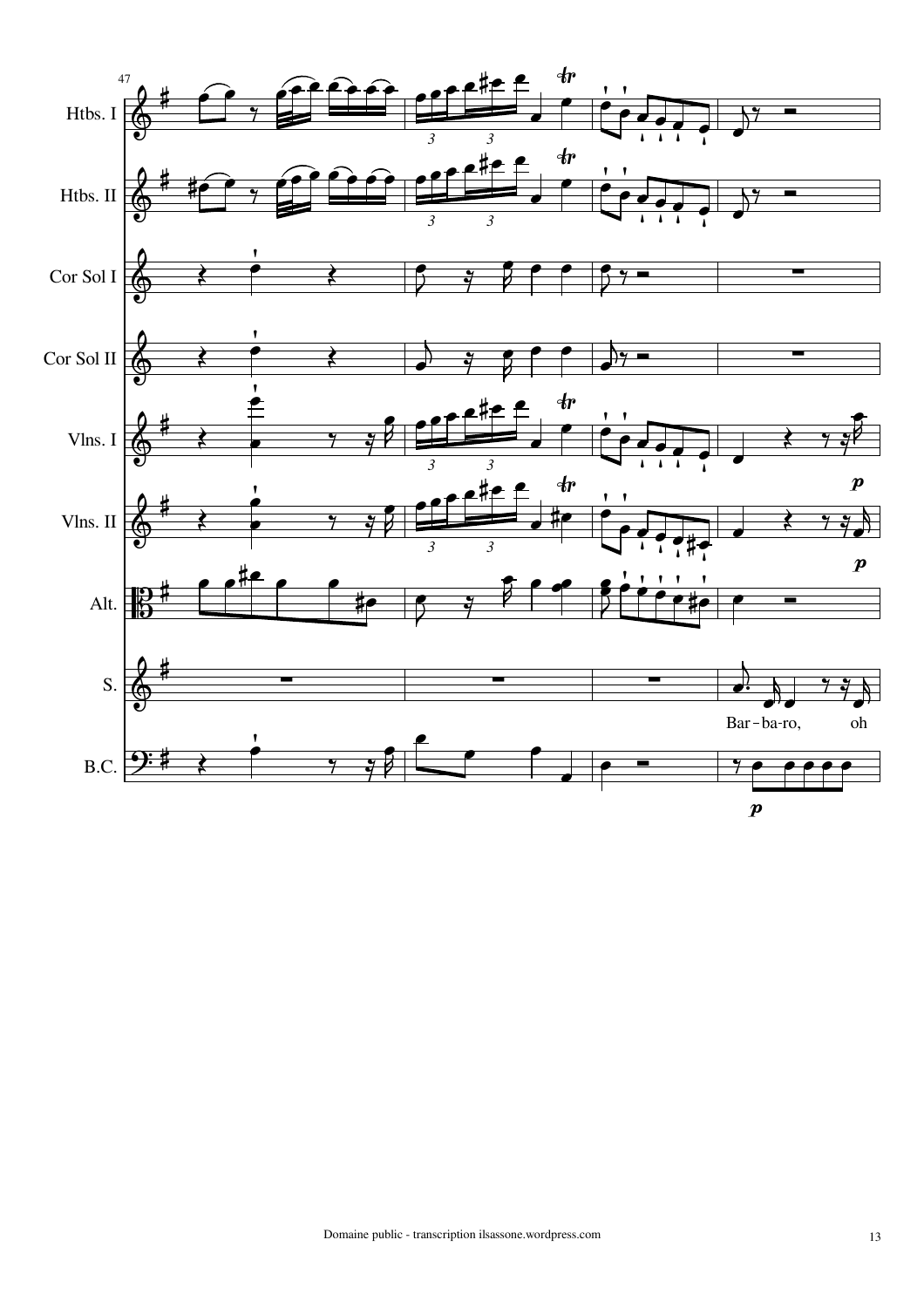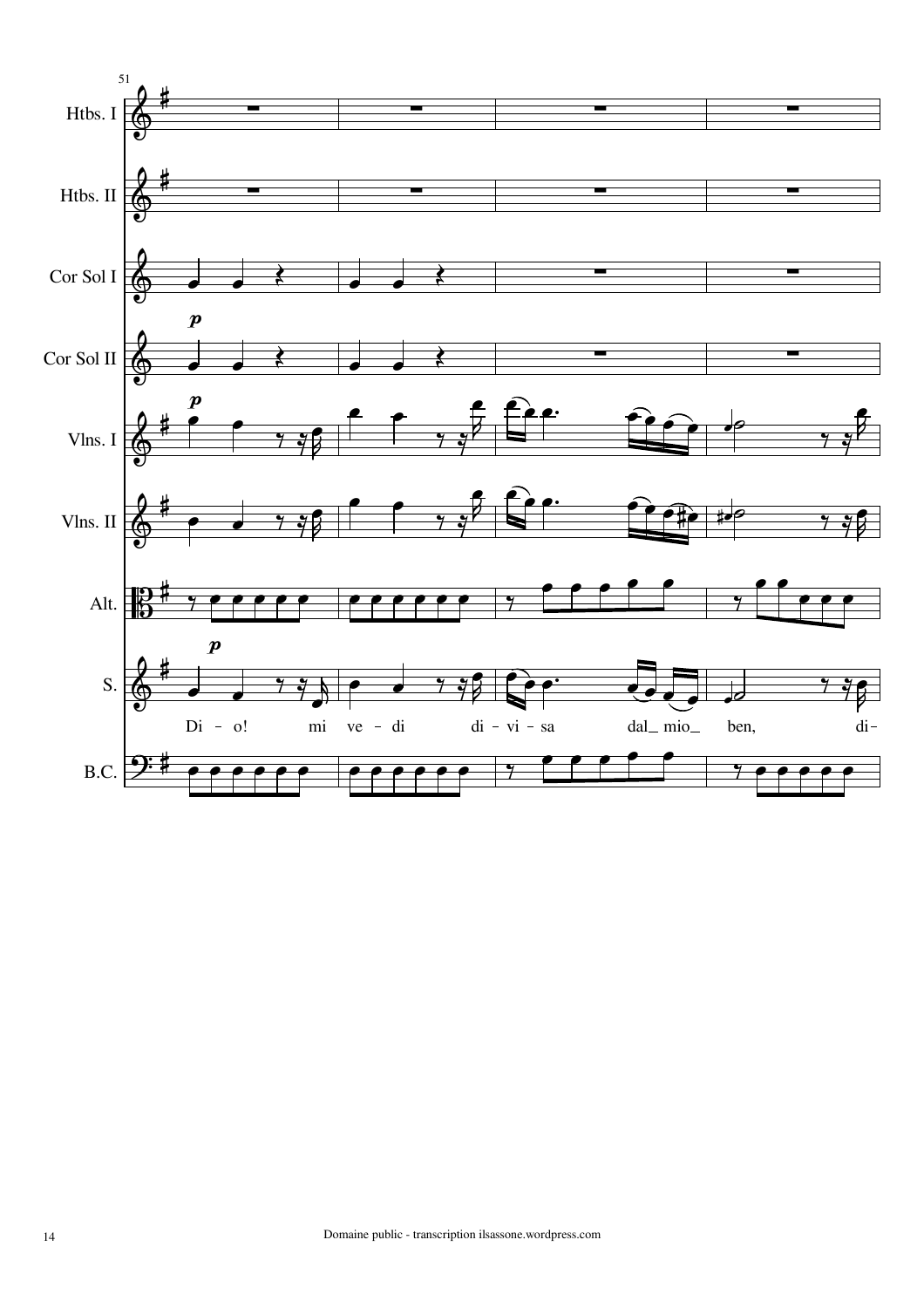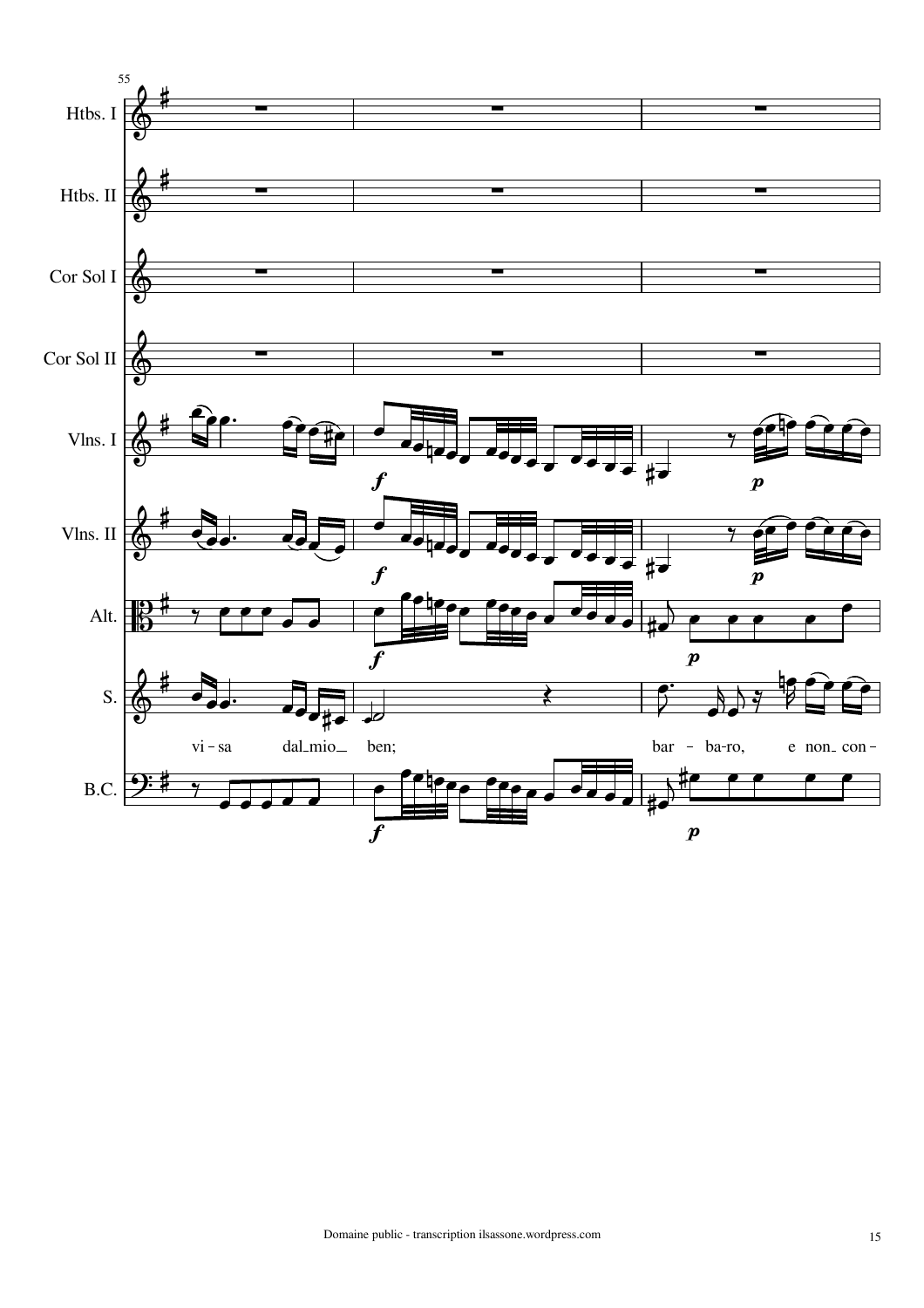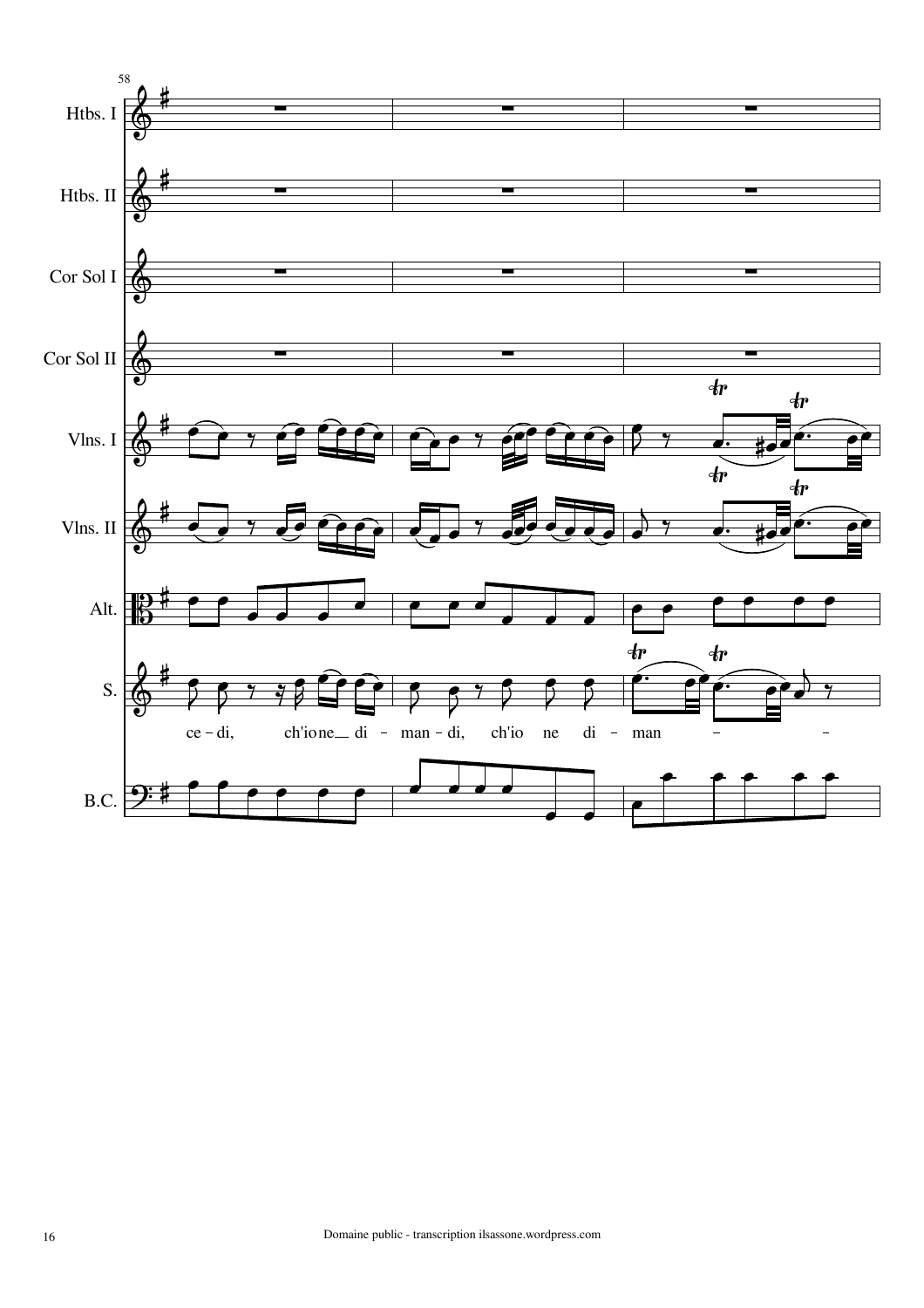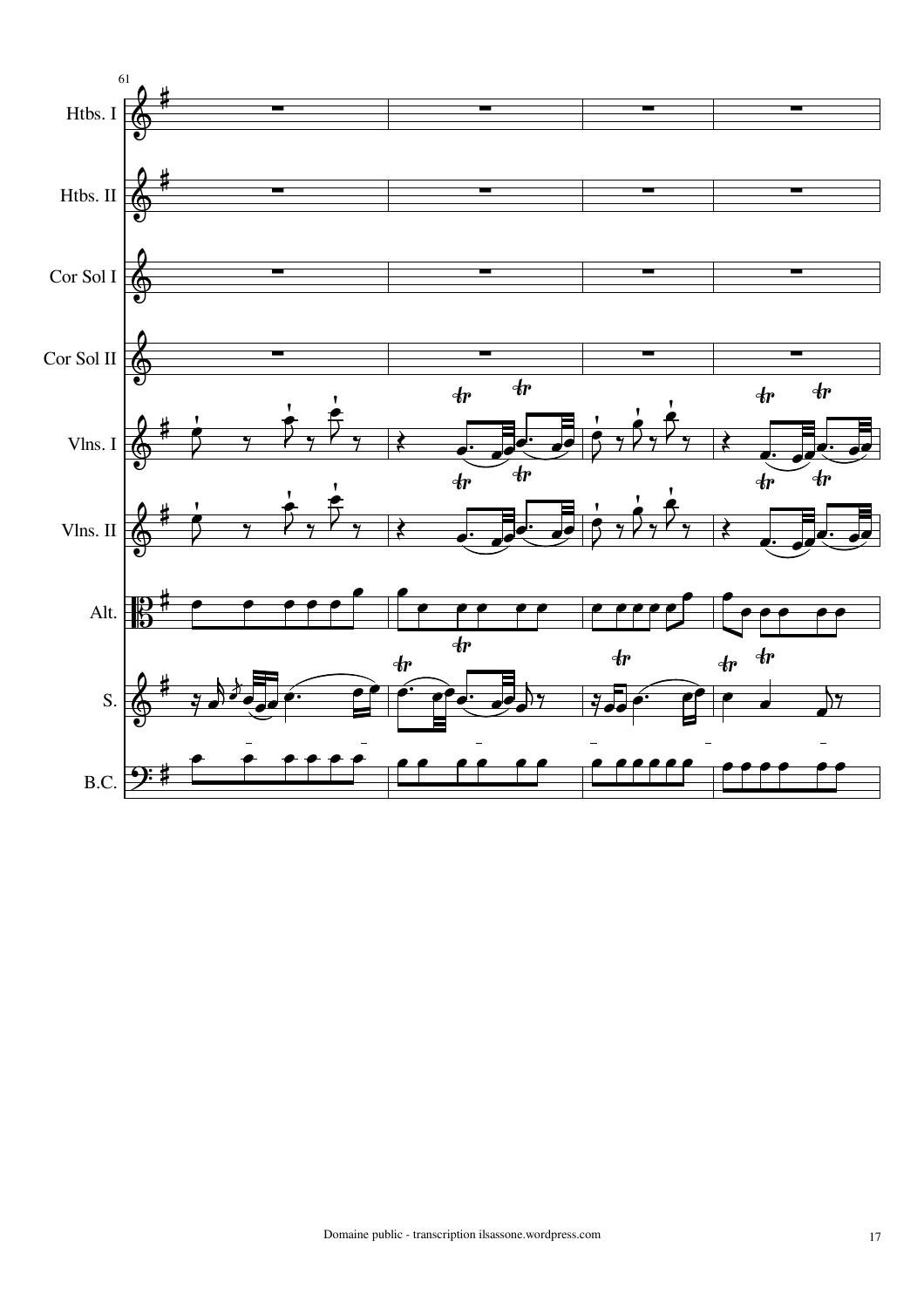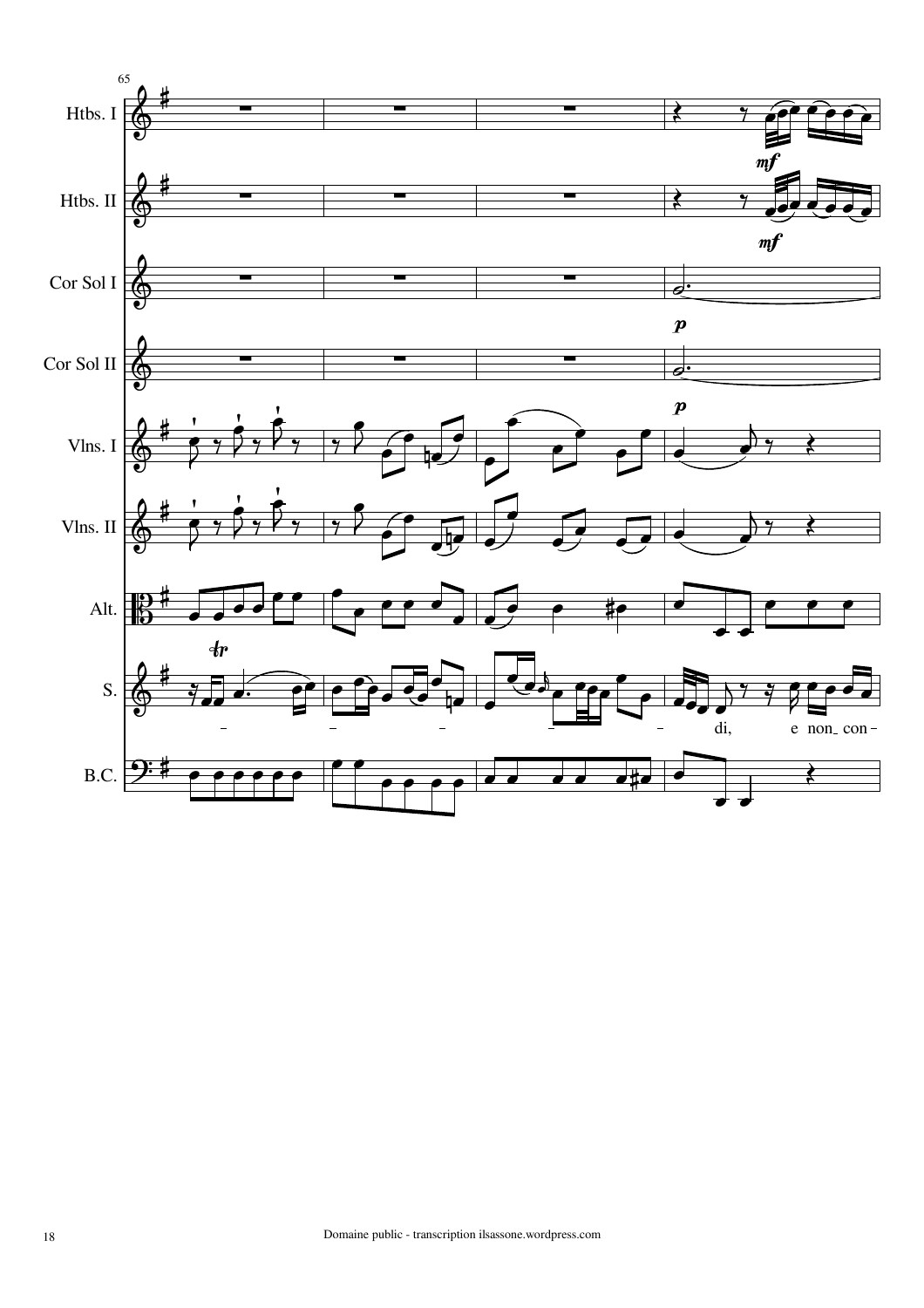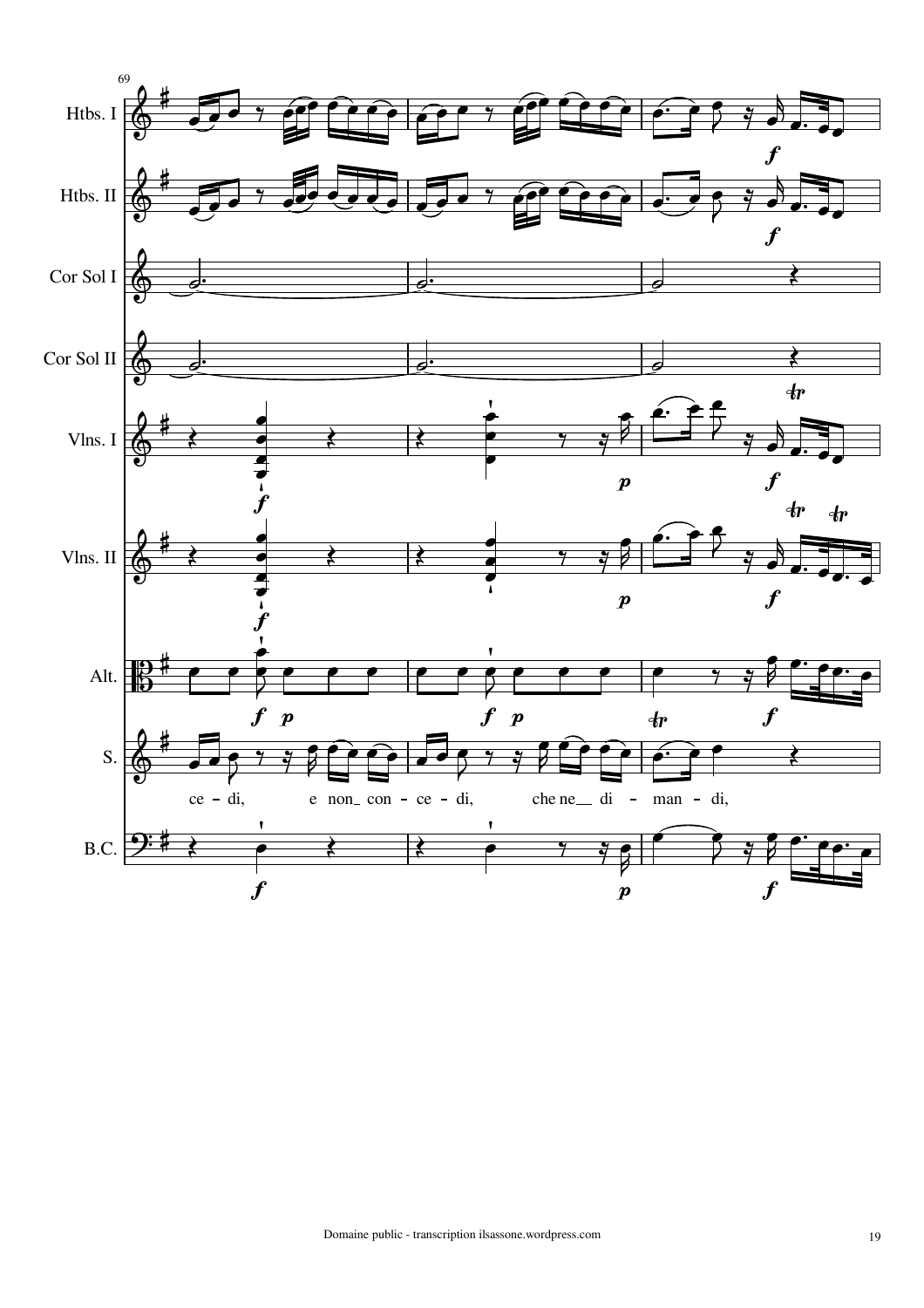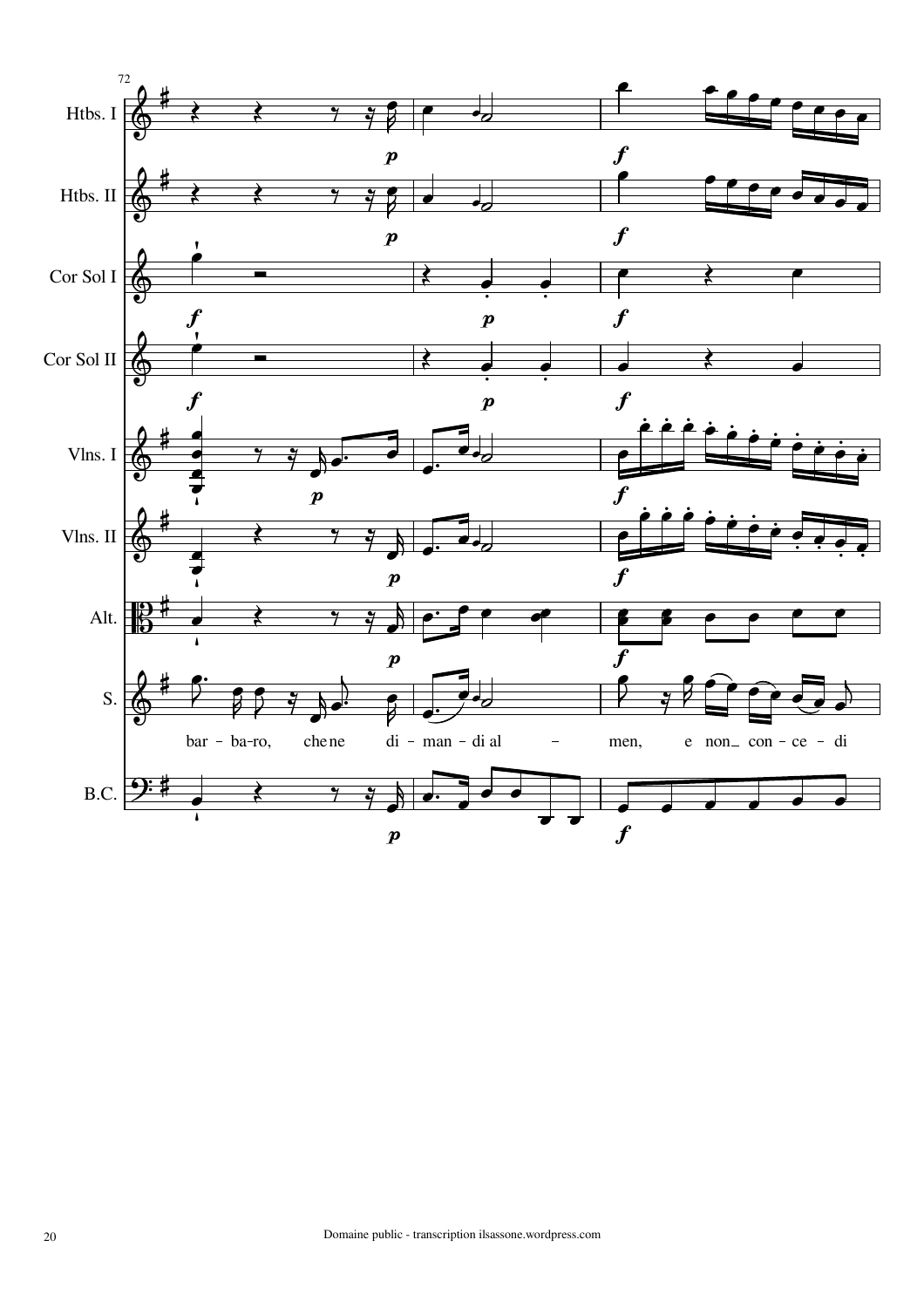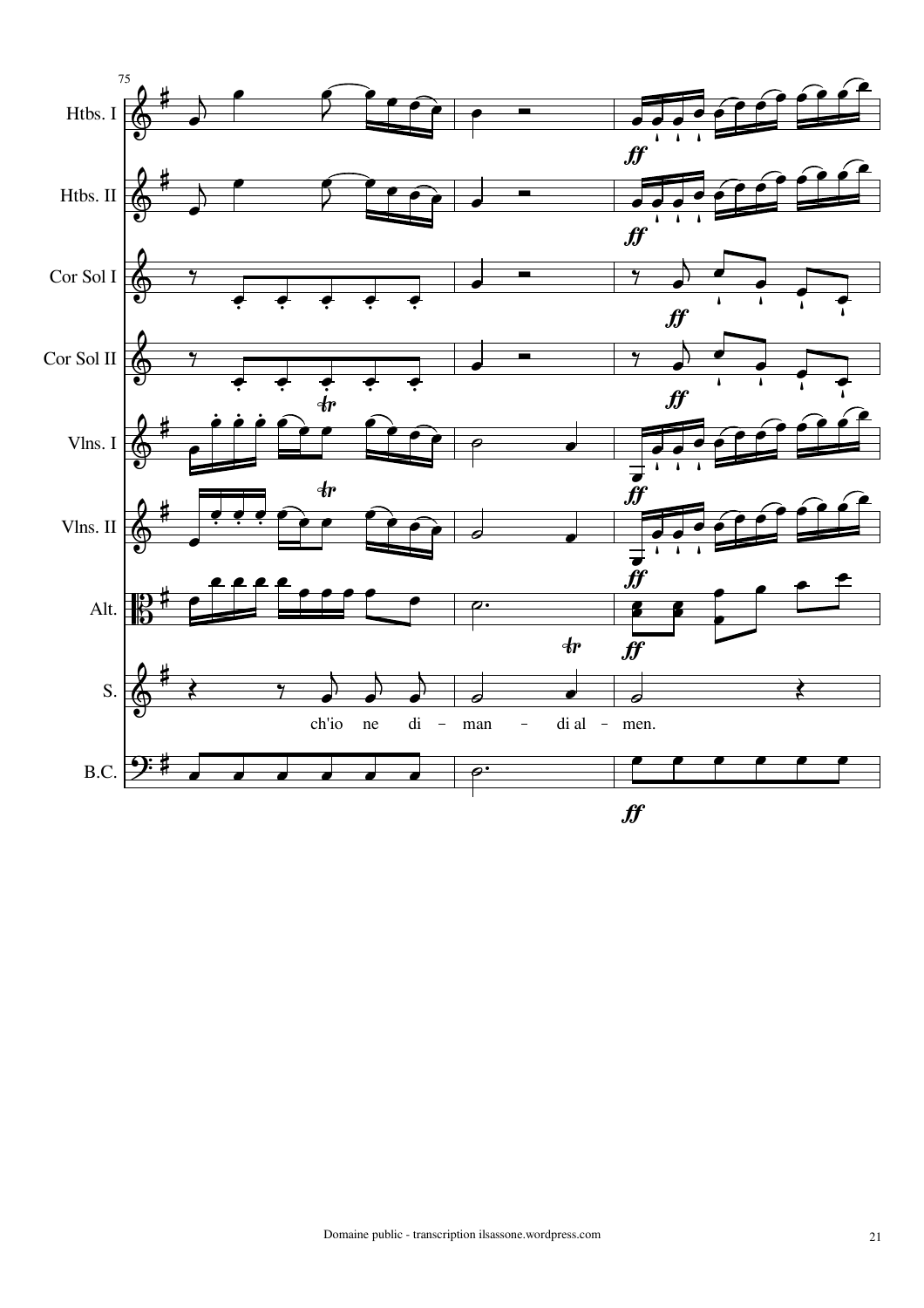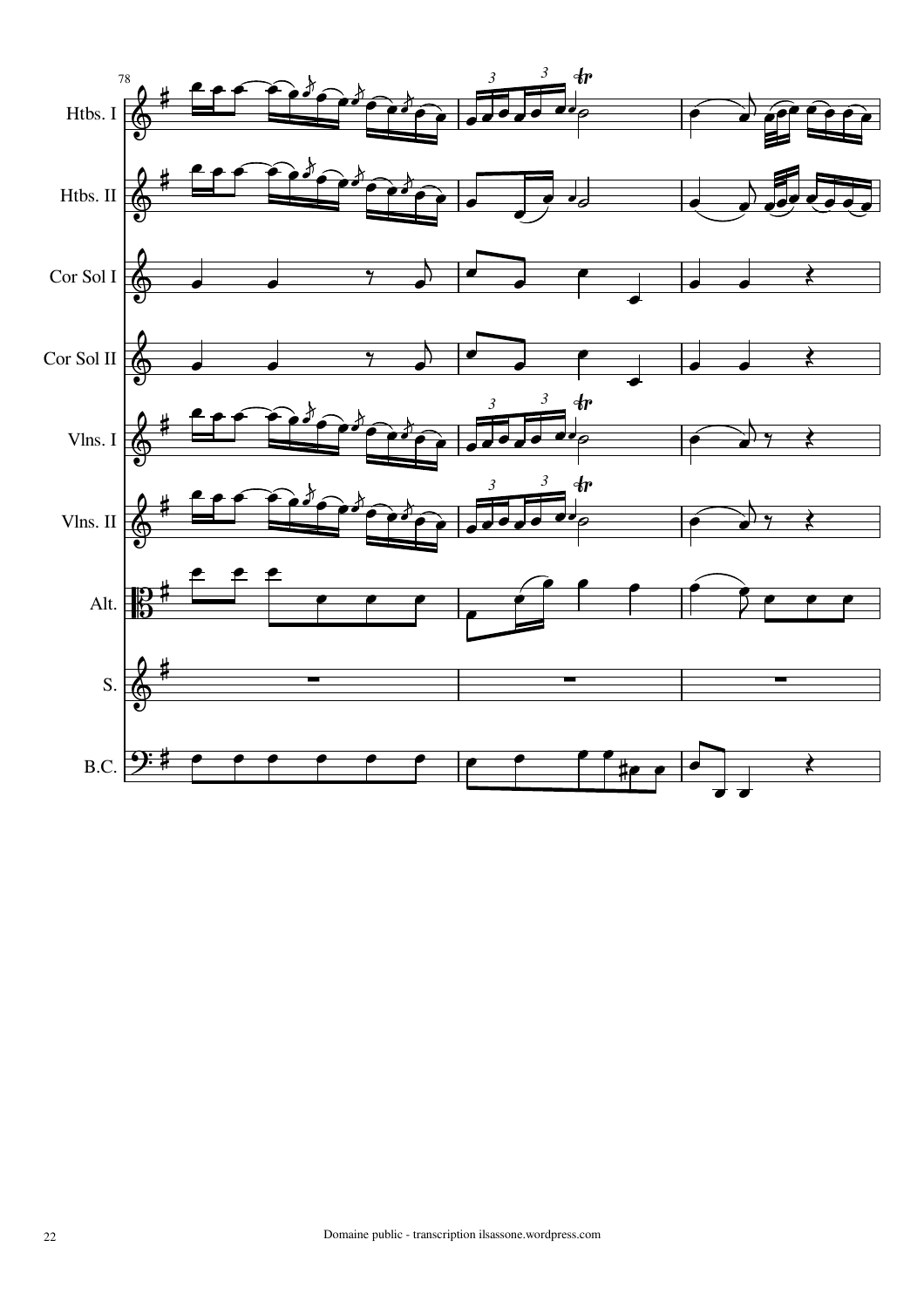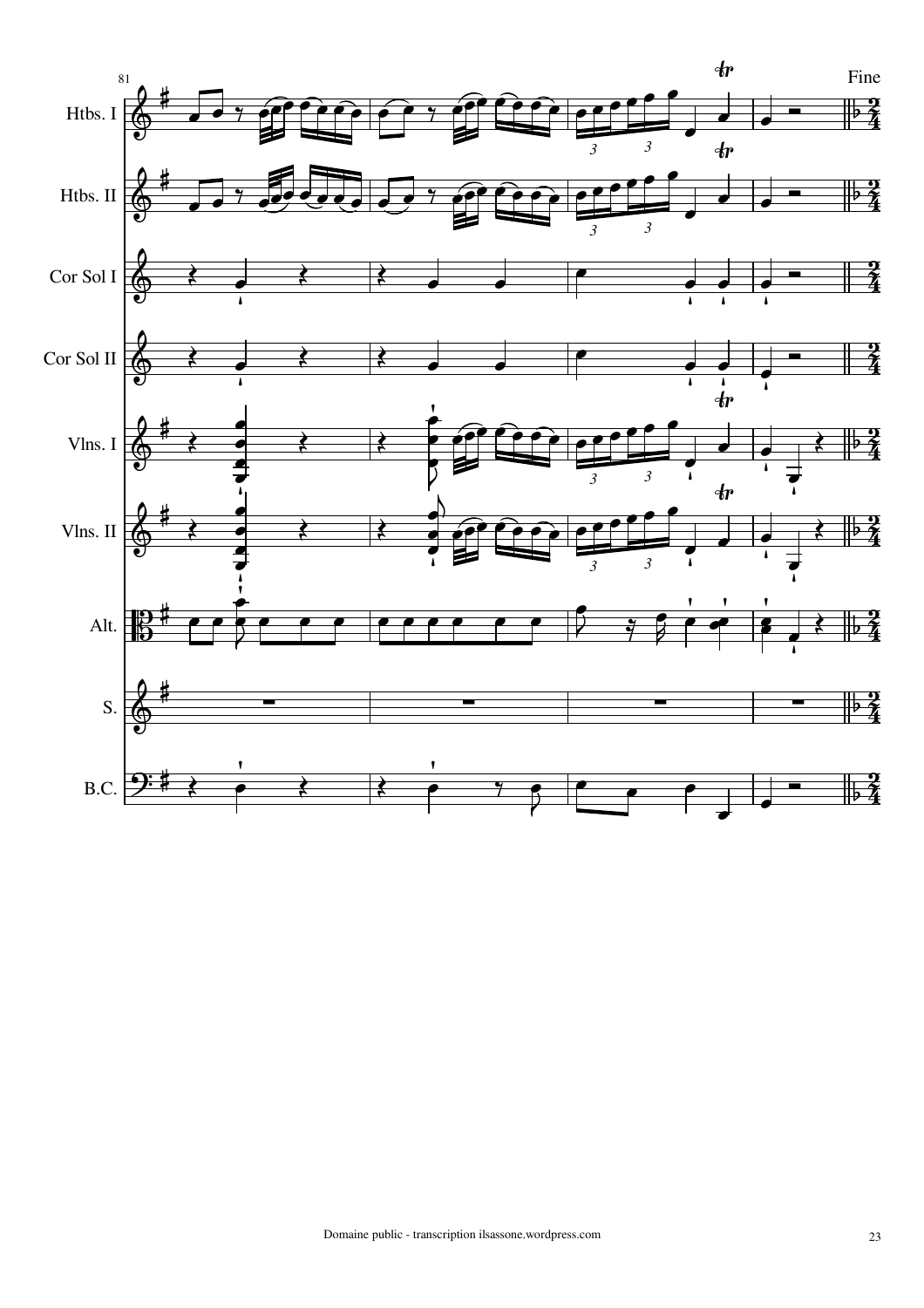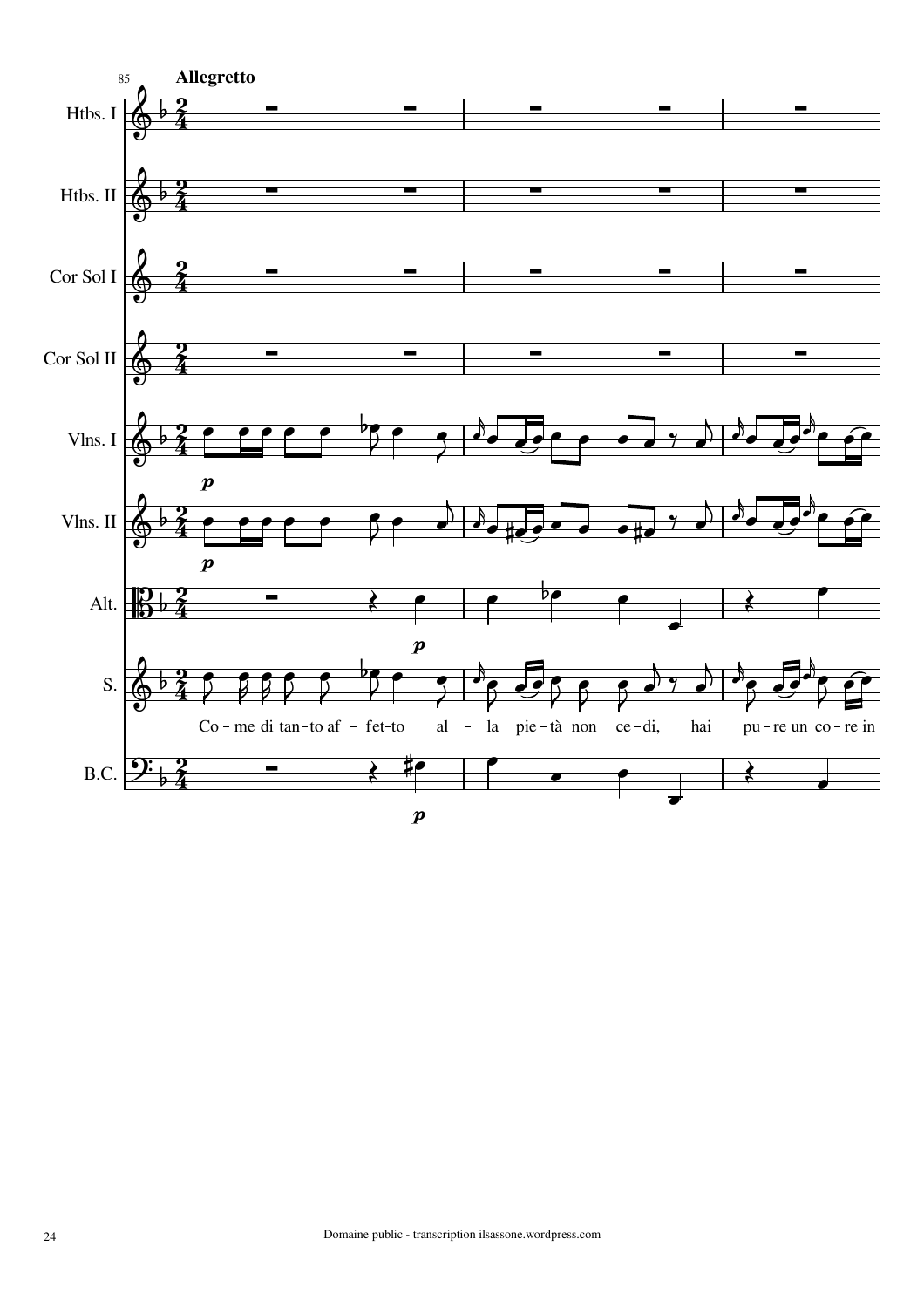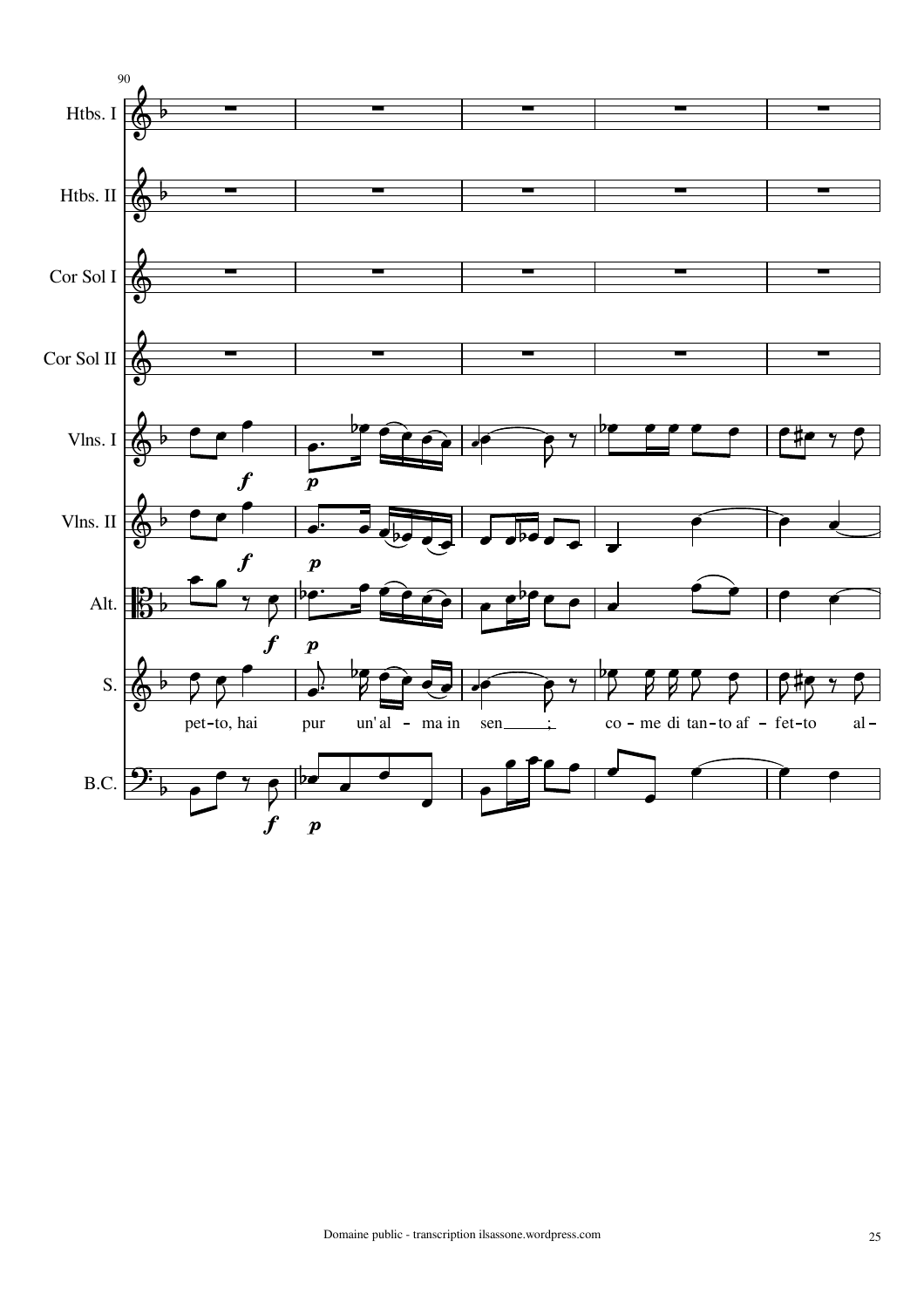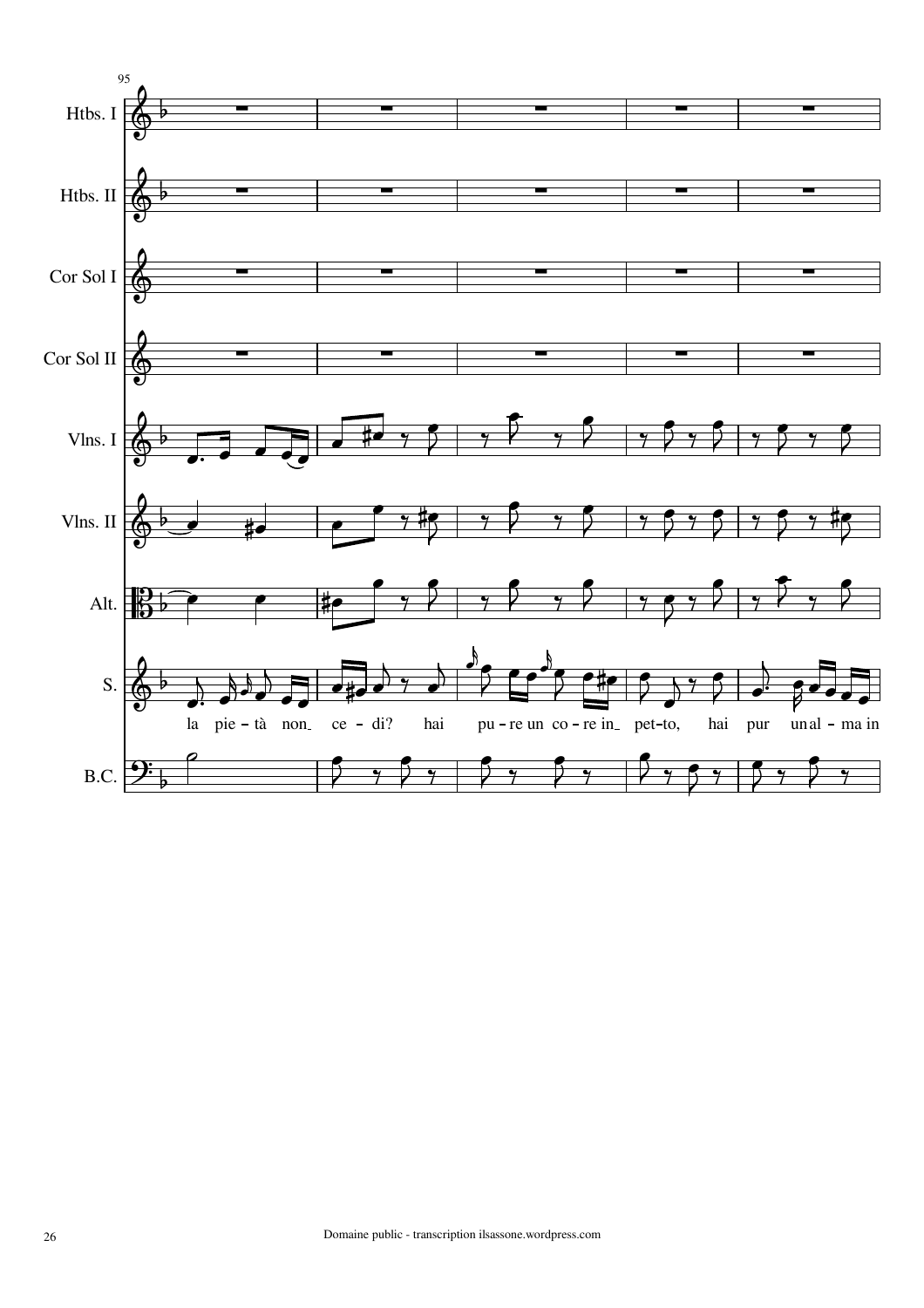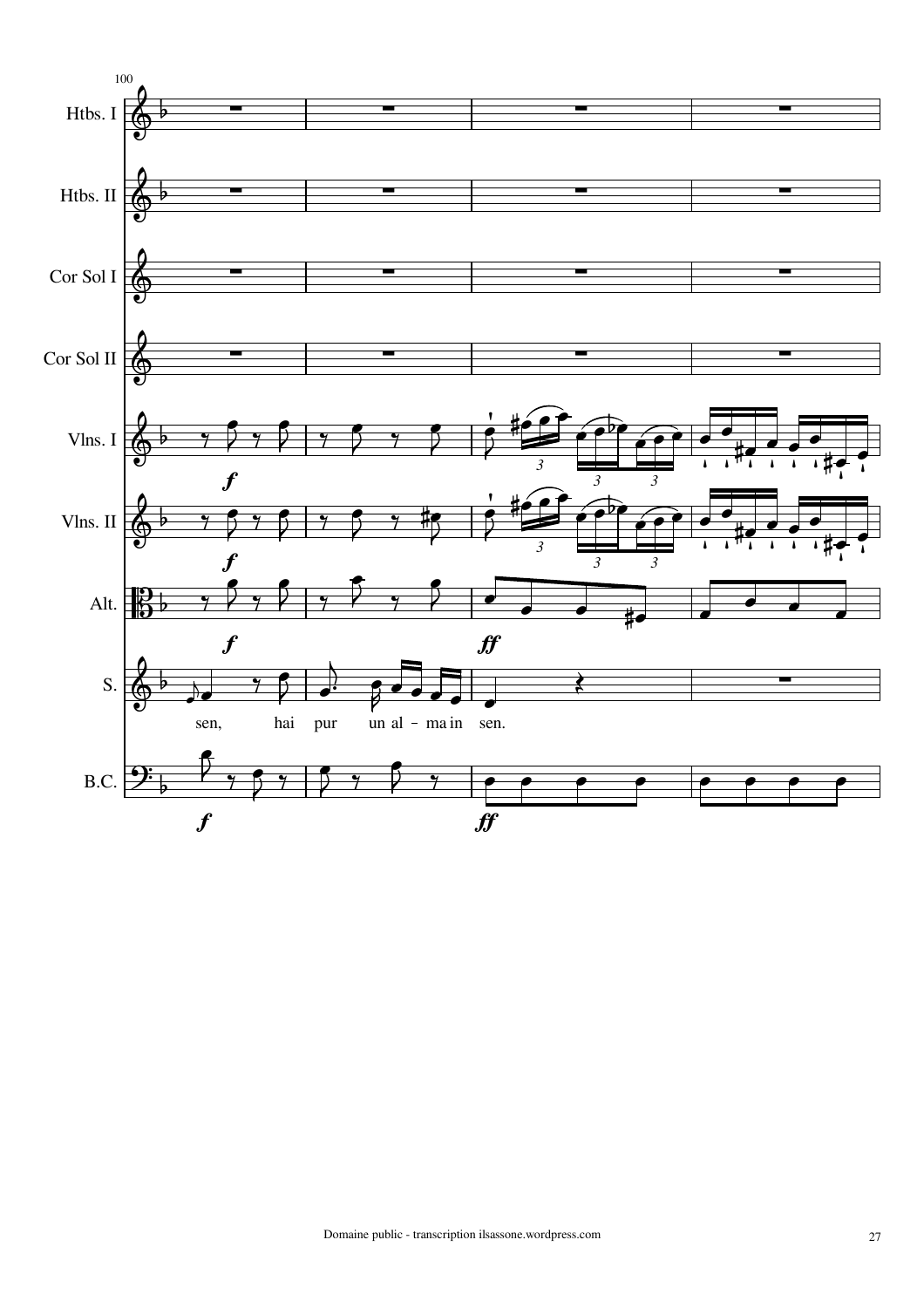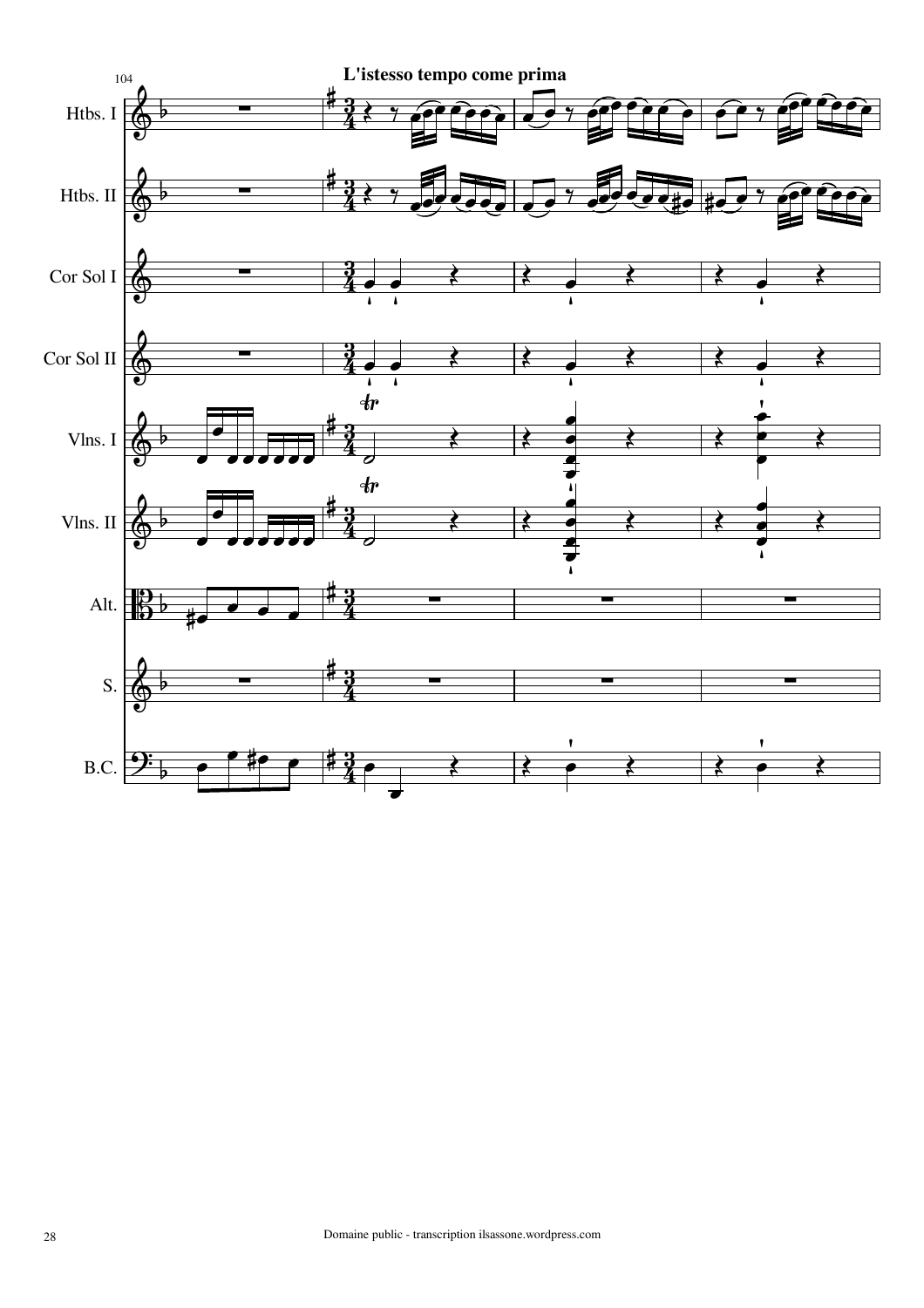